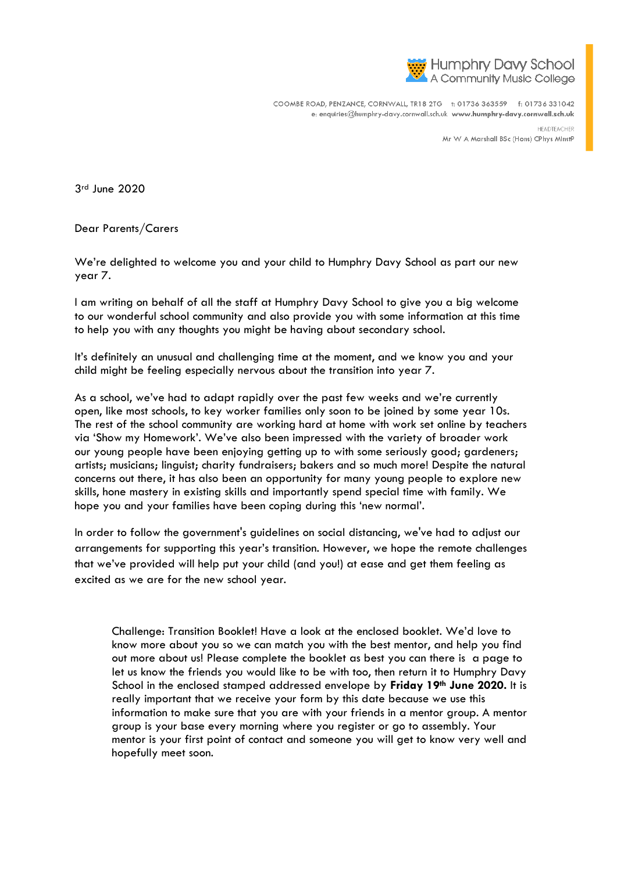

COOMBE ROAD, PENZANCE, CORNWALL, TR18 2TG +: 01736 363559 +: 01736 331042 e: enquiries@humphry-davy.cornwall.sch.uk www.humphry-davy.cornwall.sch.uk

> HEADTEACHER Mr W A Marshall BSc (Hons) CPhys MInstP

3rd June 2020

Dear Parents/Carers

We're delighted to welcome you and your child to Humphry Davy School as part our new year 7.

I am writing on behalf of all the staff at Humphry Davy School to give you a big welcome to our wonderful school community and also provide you with some information at this time to help you with any thoughts you might be having about secondary school.

It's definitely an unusual and challenging time at the moment, and we know you and your child might be feeling especially nervous about the transition into year 7.

As a school, we've had to adapt rapidly over the past few weeks and we're currently open, like most schools, to key worker families only soon to be joined by some year 10s. The rest of the school community are working hard at home with work set online by teachers via 'Show my Homework'. We've also been impressed with the variety of broader work our young people have been enjoying getting up to with some seriously good; gardeners; artists; musicians; linguist; charity fundraisers; bakers and so much more! Despite the natural concerns out there, it has also been an opportunity for many young people to explore new skills, hone mastery in existing skills and importantly spend special time with family. We hope you and your families have been coping during this 'new normal'.

In order to follow the government's guidelines on social distancing, we've had to adjust our arrangements for supporting this year's transition. However, we hope the remote challenges that we've provided will help put your child (and you!) at ease and get them feeling as excited as we are for the new school year.

Challenge: Transition Booklet! Have a look at the enclosed booklet. We'd love to know more about you so we can match you with the best mentor, and help you find out more about us! Please complete the booklet as best you can there is a page to let us know the friends you would like to be with too, then return it to Humphry Davy School in the enclosed stamped addressed envelope by **Friday 19th June 2020.** It is really important that we receive your form by this date because we use this information to make sure that you are with your friends in a mentor group. A mentor group is your base every morning where you register or go to assembly. Your mentor is your first point of contact and someone you will get to know very well and hopefully meet soon.